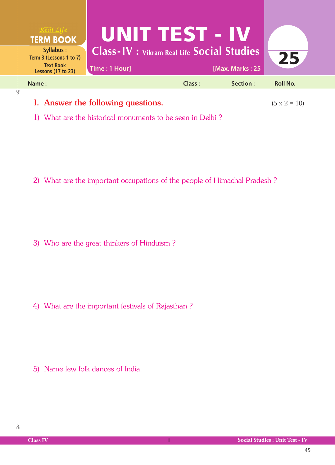

1) What are the historical monuments to be seen in Delhi ?

2) What are the important occupations of the people of Himachal Pradesh ?

3) Who are the great thinkers of Hinduism ?

4) What are the important festivals of Rajasthan ?

5) Name few folk dances of India.

 $\frac{1}{2}$